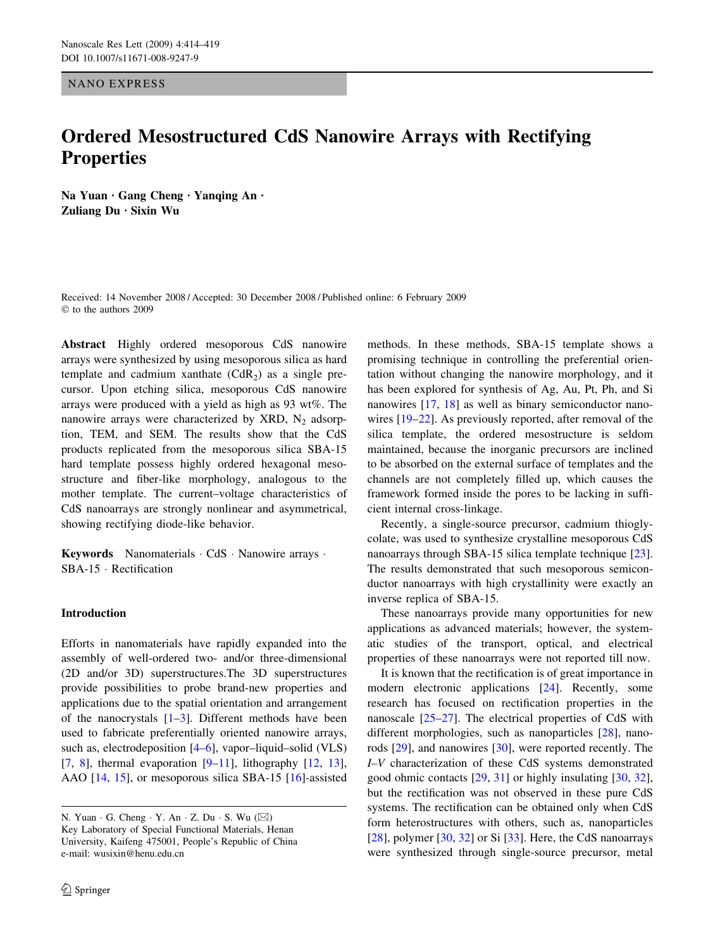NANO EXPRESS

# Ordered Mesostructured CdS Nanowire Arrays with Rectifying **Properties**

Na Yuan Gang Cheng Yanqing An . Zuliang  $Du$  · Sixin Wu

Received: 14 November 2008 / Accepted: 30 December 2008 / Published online: 6 February 2009  $©$  to the authors 2009

Abstract Highly ordered mesoporous CdS nanowire arrays were synthesized by using mesoporous silica as hard template and cadmium xanthate  $(CdR<sub>2</sub>)$  as a single precursor. Upon etching silica, mesoporous CdS nanowire arrays were produced with a yield as high as 93 wt%. The nanowire arrays were characterized by XRD,  $N_2$  adsorption, TEM, and SEM. The results show that the CdS products replicated from the mesoporous silica SBA-15 hard template possess highly ordered hexagonal mesostructure and fiber-like morphology, analogous to the mother template. The current–voltage characteristics of CdS nanoarrays are strongly nonlinear and asymmetrical, showing rectifying diode-like behavior.

Keywords Nanomaterials CdS · Nanowire arrays · SBA-15 Rectification

## Introduction

Efforts in nanomaterials have rapidly expanded into the assembly of well-ordered two- and/or three-dimensional (2D and/or 3D) superstructures.The 3D superstructures provide possibilities to probe brand-new properties and applications due to the spatial orientation and arrangement of the nanocrystals  $[1-3]$ . Different methods have been used to fabricate preferentially oriented nanowire arrays, such as, electrodeposition [\[4–6](#page-4-0)], vapor–liquid–solid (VLS) [\[7](#page-4-0), [8](#page-4-0)], thermal evaporation  $[9-11]$ , lithography  $[12, 13]$  $[12, 13]$  $[12, 13]$  $[12, 13]$ , AAO [\[14](#page-5-0), [15](#page-5-0)], or mesoporous silica SBA-15 [\[16](#page-5-0)]-assisted methods. In these methods, SBA-15 template shows a promising technique in controlling the preferential orientation without changing the nanowire morphology, and it has been explored for synthesis of Ag, Au, Pt, Ph, and Si nanowires [[17,](#page-5-0) [18\]](#page-5-0) as well as binary semiconductor nanowires [[19–22\]](#page-5-0). As previously reported, after removal of the silica template, the ordered mesostructure is seldom maintained, because the inorganic precursors are inclined to be absorbed on the external surface of templates and the channels are not completely filled up, which causes the framework formed inside the pores to be lacking in sufficient internal cross-linkage.

Recently, a single-source precursor, cadmium thioglycolate, was used to synthesize crystalline mesoporous CdS nanoarrays through SBA-15 silica template technique [\[23](#page-5-0)]. The results demonstrated that such mesoporous semiconductor nanoarrays with high crystallinity were exactly an inverse replica of SBA-15.

These nanoarrays provide many opportunities for new applications as advanced materials; however, the systematic studies of the transport, optical, and electrical properties of these nanoarrays were not reported till now.

It is known that the rectification is of great importance in modern electronic applications [[24\]](#page-5-0). Recently, some research has focused on rectification properties in the nanoscale [\[25–27](#page-5-0)]. The electrical properties of CdS with different morphologies, such as nanoparticles [[28\]](#page-5-0), nanorods [[29\]](#page-5-0), and nanowires [\[30](#page-5-0)], were reported recently. The I–V characterization of these CdS systems demonstrated good ohmic contacts [\[29](#page-5-0), [31](#page-5-0)] or highly insulating [\[30](#page-5-0), [32](#page-5-0)], but the rectification was not observed in these pure CdS systems. The rectification can be obtained only when CdS form heterostructures with others, such as, nanoparticles [ $28$ ], polymer [ $30$ ,  $32$ ] or Si [ $33$ ]. Here, the CdS nanoarrays were synthesized through single-source precursor, metal

N. Yuan  $\cdot$  G. Cheng  $\cdot$  Y. An  $\cdot$  Z. Du  $\cdot$  S. Wu ( $\boxtimes$ ) Key Laboratory of Special Functional Materials, Henan University, Kaifeng 475001, People's Republic of China e-mail: wusixin@henu.edu.cn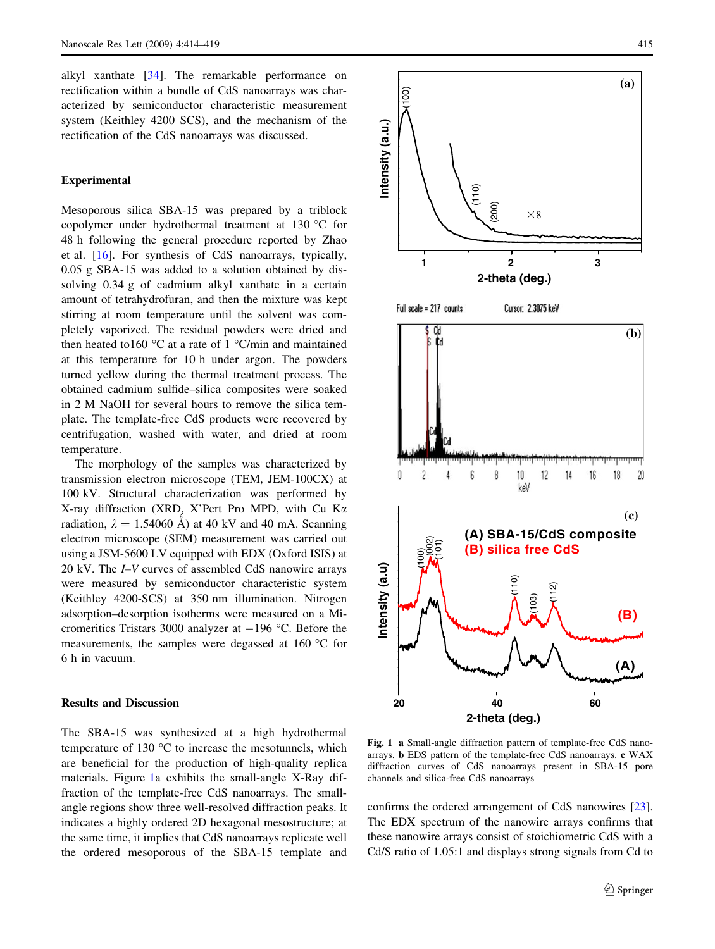<span id="page-1-0"></span>alkyl xanthate [[34\]](#page-5-0). The remarkable performance on rectification within a bundle of CdS nanoarrays was characterized by semiconductor characteristic measurement system (Keithley 4200 SCS), and the mechanism of the rectification of the CdS nanoarrays was discussed.

## Experimental

Mesoporous silica SBA-15 was prepared by a triblock copolymer under hydrothermal treatment at 130  $^{\circ}$ C for 48 h following the general procedure reported by Zhao et al. [\[16](#page-5-0)]. For synthesis of CdS nanoarrays, typically, 0.05 g SBA-15 was added to a solution obtained by dissolving 0.34 g of cadmium alkyl xanthate in a certain amount of tetrahydrofuran, and then the mixture was kept stirring at room temperature until the solvent was completely vaporized. The residual powders were dried and then heated to 160 °C at a rate of 1 °C/min and maintained at this temperature for 10 h under argon. The powders turned yellow during the thermal treatment process. The obtained cadmium sulfide–silica composites were soaked in 2 M NaOH for several hours to remove the silica template. The template-free CdS products were recovered by centrifugation, washed with water, and dried at room temperature.

The morphology of the samples was characterized by transmission electron microscope (TEM, JEM-100CX) at 100 kV. Structural characterization was performed by X-ray diffraction (XRD, X'Pert Pro MPD, with Cu Ka radiation,  $\lambda = 1.54060 \text{ Å}$  at 40 kV and 40 mA. Scanning electron microscope (SEM) measurement was carried out using a JSM-5600 LV equipped with EDX (Oxford ISIS) at 20 kV. The I–V curves of assembled CdS nanowire arrays were measured by semiconductor characteristic system (Keithley 4200-SCS) at 350 nm illumination. Nitrogen adsorption–desorption isotherms were measured on a Micromeritics Tristars 3000 analyzer at  $-196$  °C. Before the measurements, the samples were degassed at 160  $^{\circ}$ C for 6 h in vacuum.

#### Results and Discussion

The SBA-15 was synthesized at a high hydrothermal temperature of 130 $\degree$ C to increase the mesotunnels, which are beneficial for the production of high-quality replica materials. Figure 1a exhibits the small-angle X-Ray diffraction of the template-free CdS nanoarrays. The smallangle regions show three well-resolved diffraction peaks. It indicates a highly ordered 2D hexagonal mesostructure; at the same time, it implies that CdS nanoarrays replicate well the ordered mesoporous of the SBA-15 template and



Fig. 1 a Small-angle diffraction pattern of template-free CdS nanoarrays. b EDS pattern of the template-free CdS nanoarrays. c WAX diffraction curves of CdS nanoarrays present in SBA-15 pore channels and silica-free CdS nanoarrays

confirms the ordered arrangement of CdS nanowires [\[23](#page-5-0)]. The EDX spectrum of the nanowire arrays confirms that these nanowire arrays consist of stoichiometric CdS with a Cd/S ratio of 1.05:1 and displays strong signals from Cd to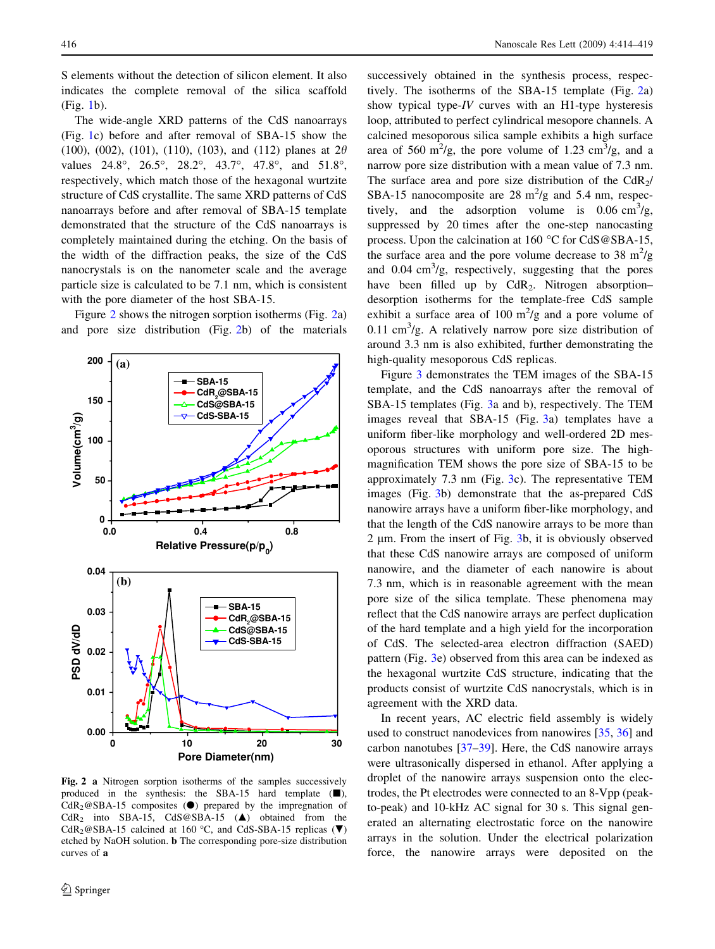S elements without the detection of silicon element. It also indicates the complete removal of the silica scaffold (Fig. [1](#page-1-0)b).

The wide-angle XRD patterns of the CdS nanoarrays (Fig. [1](#page-1-0)c) before and after removal of SBA-15 show the (100), (002), (101), (110), (103), and (112) planes at  $2\theta$ values 24.8°, 26.5°, 28.2°, 43.7°, 47.8°, and 51.8°, respectively, which match those of the hexagonal wurtzite structure of CdS crystallite. The same XRD patterns of CdS nanoarrays before and after removal of SBA-15 template demonstrated that the structure of the CdS nanoarrays is completely maintained during the etching. On the basis of the width of the diffraction peaks, the size of the CdS nanocrystals is on the nanometer scale and the average particle size is calculated to be 7.1 nm, which is consistent with the pore diameter of the host SBA-15.

Figure 2 shows the nitrogen sorption isotherms (Fig. 2a) and pore size distribution (Fig. 2b) of the materials



Fig. 2 a Nitrogen sorption isotherms of the samples successively produced in the synthesis: the SBA-15 hard template  $(\blacksquare)$ ,  $CdR<sub>2</sub>@SBA-15$  composites ( $\bullet$ ) prepared by the impregnation of  $CdR<sub>2</sub>$  into SBA-15,  $CdS@SBA-15$  ( $\blacktriangle$ ) obtained from the CdR<sub>2</sub>@SBA-15 calcined at 160 °C, and CdS-SBA-15 replicas ( $\nabla$ ) etched by NaOH solution. b The corresponding pore-size distribution curves of a

successively obtained in the synthesis process, respectively. The isotherms of the SBA-15 template (Fig. 2a) show typical type-IV curves with an H1-type hysteresis loop, attributed to perfect cylindrical mesopore channels. A calcined mesoporous silica sample exhibits a high surface area of 560 m<sup>2</sup>/g, the pore volume of 1.23 cm<sup>3</sup>/g, and a narrow pore size distribution with a mean value of 7.3 nm. The surface area and pore size distribution of the  $CdR<sub>2</sub>/$ SBA-15 nanocomposite are 28  $m^2/g$  and 5.4 nm, respectively, and the adsorption volume is  $0.06 \text{ cm}^3/\text{g}$ , suppressed by 20 times after the one-step nanocasting process. Upon the calcination at  $160^{\circ}$ C for CdS@SBA-15, the surface area and the pore volume decrease to 38  $m^2/g$ and  $0.04 \text{ cm}^3/\text{g}$ , respectively, suggesting that the pores have been filled up by  $CdR_2$ . Nitrogen absorption– desorption isotherms for the template-free CdS sample exhibit a surface area of 100  $\mathrm{m}^2/\mathrm{g}$  and a pore volume of 0.11 cm<sup>3</sup>/g. A relatively narrow pore size distribution of around 3.3 nm is also exhibited, further demonstrating the high-quality mesoporous CdS replicas.

Figure [3](#page-3-0) demonstrates the TEM images of the SBA-15 template, and the CdS nanoarrays after the removal of SBA-15 templates (Fig. [3](#page-3-0)a and b), respectively. The TEM images reveal that SBA-15 (Fig. [3](#page-3-0)a) templates have a uniform fiber-like morphology and well-ordered 2D mesoporous structures with uniform pore size. The highmagnification TEM shows the pore size of SBA-15 to be approximately 7.3 nm (Fig. [3](#page-3-0)c). The representative TEM images (Fig. [3b](#page-3-0)) demonstrate that the as-prepared CdS nanowire arrays have a uniform fiber-like morphology, and that the length of the CdS nanowire arrays to be more than 2 *l*m. From the insert of Fig. [3b](#page-3-0), it is obviously observed that these CdS nanowire arrays are composed of uniform nanowire, and the diameter of each nanowire is about 7.3 nm, which is in reasonable agreement with the mean pore size of the silica template. These phenomena may reflect that the CdS nanowire arrays are perfect duplication of the hard template and a high yield for the incorporation of CdS. The selected-area electron diffraction (SAED) pattern (Fig. [3](#page-3-0)e) observed from this area can be indexed as the hexagonal wurtzite CdS structure, indicating that the products consist of wurtzite CdS nanocrystals, which is in agreement with the XRD data.

In recent years, AC electric field assembly is widely used to construct nanodevices from nanowires [[35,](#page-5-0) [36\]](#page-5-0) and carbon nanotubes [[37–39\]](#page-5-0). Here, the CdS nanowire arrays were ultrasonically dispersed in ethanol. After applying a droplet of the nanowire arrays suspension onto the electrodes, the Pt electrodes were connected to an 8-Vpp (peakto-peak) and 10-kHz AC signal for 30 s. This signal generated an alternating electrostatic force on the nanowire arrays in the solution. Under the electrical polarization force, the nanowire arrays were deposited on the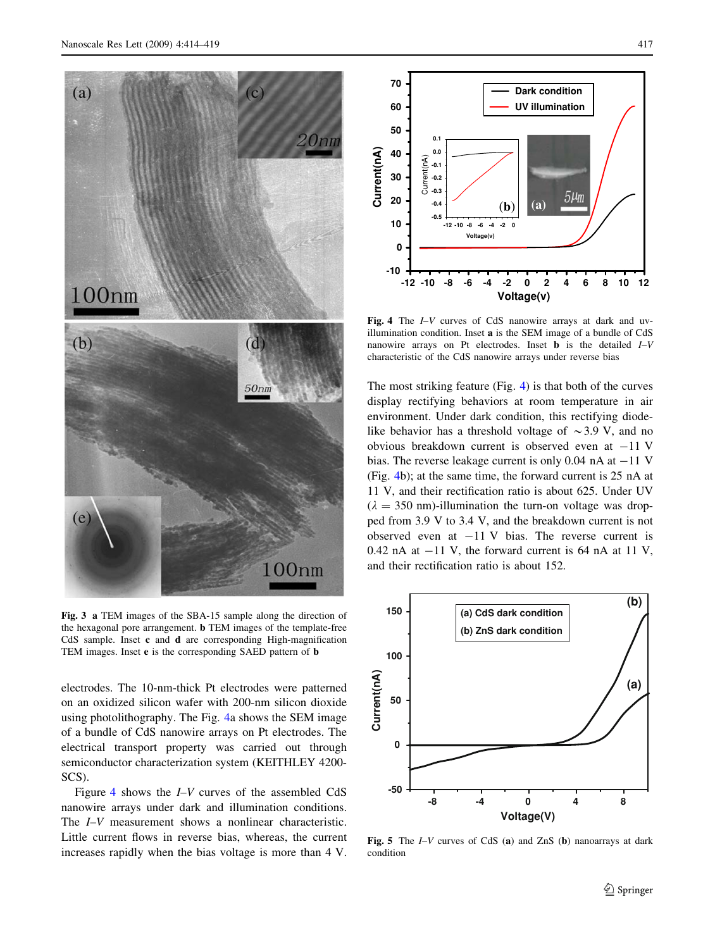<span id="page-3-0"></span>

Fig. 3 a TEM images of the SBA-15 sample along the direction of the hexagonal pore arrangement. b TEM images of the template-free CdS sample. Inset c and d are corresponding High-magnification TEM images. Inset e is the corresponding SAED pattern of b

electrodes. The 10-nm-thick Pt electrodes were patterned on an oxidized silicon wafer with 200-nm silicon dioxide using photolithography. The Fig. 4a shows the SEM image of a bundle of CdS nanowire arrays on Pt electrodes. The electrical transport property was carried out through semiconductor characterization system (KEITHLEY 4200- SCS).

Figure 4 shows the I–V curves of the assembled CdS nanowire arrays under dark and illumination conditions. The *I–V* measurement shows a nonlinear characteristic. Little current flows in reverse bias, whereas, the current increases rapidly when the bias voltage is more than 4 V.



Fig. 4 The I–V curves of CdS nanowire arrays at dark and uvillumination condition. Inset a is the SEM image of a bundle of CdS nanowire arrays on Pt electrodes. Inset **b** is the detailed  $I-V$ characteristic of the CdS nanowire arrays under reverse bias

The most striking feature (Fig. 4) is that both of the curves display rectifying behaviors at room temperature in air environment. Under dark condition, this rectifying diodelike behavior has a threshold voltage of  $\sim$ 3.9 V, and no obvious breakdown current is observed even at  $-11$  V bias. The reverse leakage current is only 0.04 nA at  $-11$  V (Fig. 4b); at the same time, the forward current is 25 nA at 11 V, and their rectification ratio is about 625. Under UV  $(\lambda = 350 \text{ nm})$ -illumination the turn-on voltage was dropped from 3.9 V to 3.4 V, and the breakdown current is not observed even at  $-11$  V bias. The reverse current is  $0.42$  nA at  $-11$  V, the forward current is 64 nA at 11 V, and their rectification ratio is about 152.



Fig. 5 The *I–V* curves of CdS (a) and ZnS (b) nanoarrays at dark condition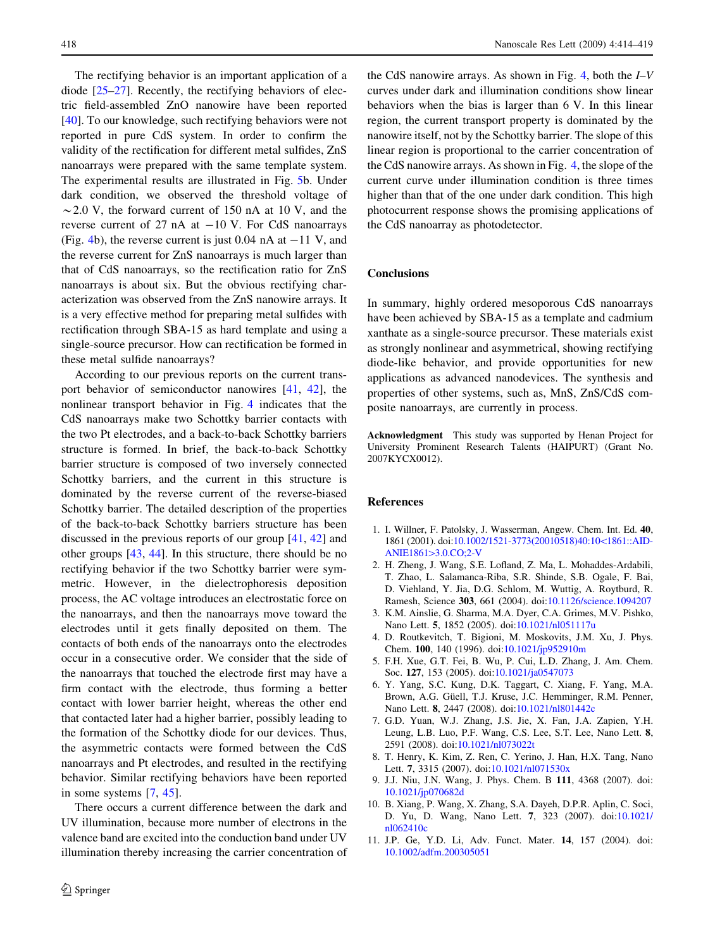<span id="page-4-0"></span>The rectifying behavior is an important application of a diode [\[25–27](#page-5-0)]. Recently, the rectifying behaviors of electric field-assembled ZnO nanowire have been reported [\[40](#page-5-0)]. To our knowledge, such rectifying behaviors were not reported in pure CdS system. In order to confirm the validity of the rectification for different metal sulfides, ZnS nanoarrays were prepared with the same template system. The experimental results are illustrated in Fig. [5b](#page-3-0). Under dark condition, we observed the threshold voltage of  $\sim$  2.0 V, the forward current of 150 nA at 10 V, and the reverse current of 27 nA at  $-10$  V. For CdS nanoarrays (Fig. [4](#page-3-0)b), the reverse current is just 0.04 nA at  $-11$  V, and the reverse current for ZnS nanoarrays is much larger than that of CdS nanoarrays, so the rectification ratio for ZnS nanoarrays is about six. But the obvious rectifying characterization was observed from the ZnS nanowire arrays. It is a very effective method for preparing metal sulfides with rectification through SBA-15 as hard template and using a single-source precursor. How can rectification be formed in these metal sulfide nanoarrays?

According to our previous reports on the current transport behavior of semiconductor nanowires [[41,](#page-5-0) [42](#page-5-0)], the nonlinear transport behavior in Fig. [4](#page-3-0) indicates that the CdS nanoarrays make two Schottky barrier contacts with the two Pt electrodes, and a back-to-back Schottky barriers structure is formed. In brief, the back-to-back Schottky barrier structure is composed of two inversely connected Schottky barriers, and the current in this structure is dominated by the reverse current of the reverse-biased Schottky barrier. The detailed description of the properties of the back-to-back Schottky barriers structure has been discussed in the previous reports of our group [\[41](#page-5-0), [42](#page-5-0)] and other groups [[43,](#page-5-0) [44](#page-5-0)]. In this structure, there should be no rectifying behavior if the two Schottky barrier were symmetric. However, in the dielectrophoresis deposition process, the AC voltage introduces an electrostatic force on the nanoarrays, and then the nanoarrays move toward the electrodes until it gets finally deposited on them. The contacts of both ends of the nanoarrays onto the electrodes occur in a consecutive order. We consider that the side of the nanoarrays that touched the electrode first may have a firm contact with the electrode, thus forming a better contact with lower barrier height, whereas the other end that contacted later had a higher barrier, possibly leading to the formation of the Schottky diode for our devices. Thus, the asymmetric contacts were formed between the CdS nanoarrays and Pt electrodes, and resulted in the rectifying behavior. Similar rectifying behaviors have been reported in some systems [7, [45\]](#page-5-0).

There occurs a current difference between the dark and UV illumination, because more number of electrons in the valence band are excited into the conduction band under UV illumination thereby increasing the carrier concentration of

the CdS nanowire arrays. As shown in Fig. [4,](#page-3-0) both the  $I-V$ curves under dark and illumination conditions show linear behaviors when the bias is larger than 6 V. In this linear region, the current transport property is dominated by the nanowire itself, not by the Schottky barrier. The slope of this linear region is proportional to the carrier concentration of the CdS nanowire arrays. As shown in Fig. [4,](#page-3-0) the slope of the current curve under illumination condition is three times higher than that of the one under dark condition. This high photocurrent response shows the promising applications of the CdS nanoarray as photodetector.

### **Conclusions**

In summary, highly ordered mesoporous CdS nanoarrays have been achieved by SBA-15 as a template and cadmium xanthate as a single-source precursor. These materials exist as strongly nonlinear and asymmetrical, showing rectifying diode-like behavior, and provide opportunities for new applications as advanced nanodevices. The synthesis and properties of other systems, such as, MnS, ZnS/CdS composite nanoarrays, are currently in process.

Acknowledgment This study was supported by Henan Project for University Prominent Research Talents (HAIPURT) (Grant No. 2007KYCX0012).

#### References

- 1. I. Willner, F. Patolsky, J. Wasserman, Angew. Chem. Int. Ed. 40, 1861 (2001). doi:[10.1002/1521-3773\(20010518\)40:10](http://dx.doi.org/10.1002/1521-3773(20010518)40:10<1861::AID-ANIE1861>3.0.CO;2-V)\1861::AID-ANIE1861>[3.0.CO;2-V](http://dx.doi.org/10.1002/1521-3773(20010518)40:10<1861::AID-ANIE1861>3.0.CO;2-V)
- 2. H. Zheng, J. Wang, S.E. Lofland, Z. Ma, L. Mohaddes-Ardabili, T. Zhao, L. Salamanca-Riba, S.R. Shinde, S.B. Ogale, F. Bai, D. Viehland, Y. Jia, D.G. Schlom, M. Wuttig, A. Roytburd, R. Ramesh, Science 303, 661 (2004). doi[:10.1126/science.1094207](http://dx.doi.org/10.1126/science.1094207)
- 3. K.M. Ainslie, G. Sharma, M.A. Dyer, C.A. Grimes, M.V. Pishko, Nano Lett. 5, 1852 (2005). doi[:10.1021/nl051117u](http://dx.doi.org/10.1021/nl051117u)
- 4. D. Routkevitch, T. Bigioni, M. Moskovits, J.M. Xu, J. Phys. Chem. 100, 140 (1996). doi:[10.1021/jp952910m](http://dx.doi.org/10.1021/jp952910m)
- 5. F.H. Xue, G.T. Fei, B. Wu, P. Cui, L.D. Zhang, J. Am. Chem. Soc. 127, 153 (2005). doi[:10.1021/ja0547073](http://dx.doi.org/10.1021/ja0547073)
- 6. Y. Yang, S.C. Kung, D.K. Taggart, C. Xiang, F. Yang, M.A. Brown, A.G. Güell, T.J. Kruse, J.C. Hemminger, R.M. Penner, Nano Lett. 8, 2447 (2008). doi[:10.1021/nl801442c](http://dx.doi.org/10.1021/nl801442c)
- 7. G.D. Yuan, W.J. Zhang, J.S. Jie, X. Fan, J.A. Zapien, Y.H. Leung, L.B. Luo, P.F. Wang, C.S. Lee, S.T. Lee, Nano Lett. 8, 2591 (2008). doi[:10.1021/nl073022t](http://dx.doi.org/10.1021/nl073022t)
- 8. T. Henry, K. Kim, Z. Ren, C. Yerino, J. Han, H.X. Tang, Nano Lett. 7, 3315 (2007). doi[:10.1021/nl071530x](http://dx.doi.org/10.1021/nl071530x)
- 9. J.J. Niu, J.N. Wang, J. Phys. Chem. B 111, 4368 (2007). doi: [10.1021/jp070682d](http://dx.doi.org/10.1021/jp070682d)
- 10. B. Xiang, P. Wang, X. Zhang, S.A. Dayeh, D.P.R. Aplin, C. Soci, D. Yu, D. Wang, Nano Lett. 7, 323 (2007). doi[:10.1021/](http://dx.doi.org/10.1021/nl062410c) [nl062410c](http://dx.doi.org/10.1021/nl062410c)
- 11. J.P. Ge, Y.D. Li, Adv. Funct. Mater. 14, 157 (2004). doi: [10.1002/adfm.200305051](http://dx.doi.org/10.1002/adfm.200305051)